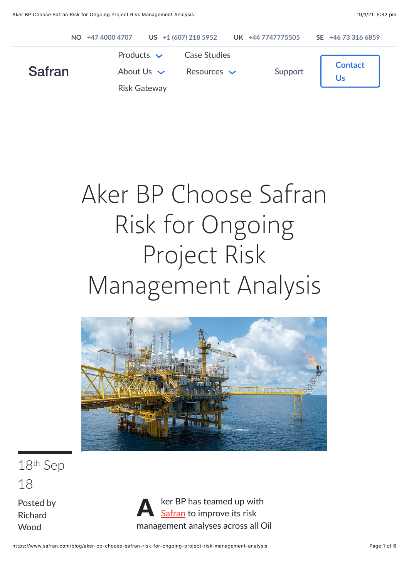

# Aker BP Choose Safran Risk for Ongoing Project Risk Management Analysis



18th Sep 18

Posted by [Richard](https://www.safran.com/blog/author/richard-wood) Wood

**A** ker BP has teamed up with management analyses across all Oil

https://www.safran.com/blog/aker-bp-choose-safran-risk-for-ongoing-project-risk-management-analysis Page 1 of 6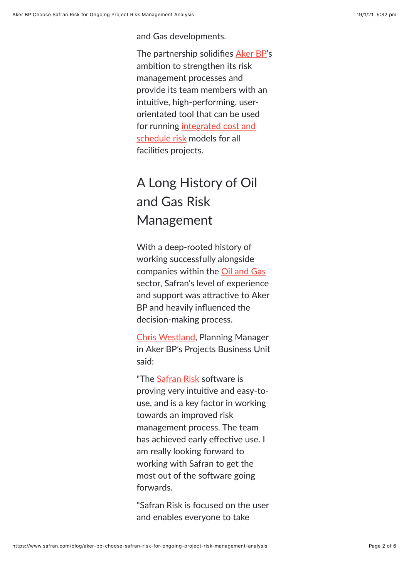and Gas developments.

The partnership solidifies [Aker BP](https://www.akerbp.com/en/)'s ambition to strengthen its risk management processes and provide its team members with an intuitive, high-performing, userorientated tool that can be used [for running integrated cost and](https://www.safran.com/blog/integrated-risk-modeling-with-safran-risk) schedule risk models for all facilities projects.

# A Long History of Oil and Gas Risk Management

With a deep-rooted history of working successfully alongside companies within the [Oil and Gas](https://www.safran.com/case-studies) sector, Safran's level of experience and support was attractive to Aker BP and heavily influenced the decision-making process.

[Chris Westland](https://www.linkedin.com/in/chris-westland-7315ab4a/), Planning Manager in Aker BP's Projects Business Unit said:

"The [Safran Risk](https://www.safran.com/risk) software is proving very intuitive and easy-touse, and is a key factor in working towards an improved risk management process. The team has achieved early effective use. I am really looking forward to working with Safran to get the most out of the software going forwards.

"Safran Risk is focused on the user and enables everyone to take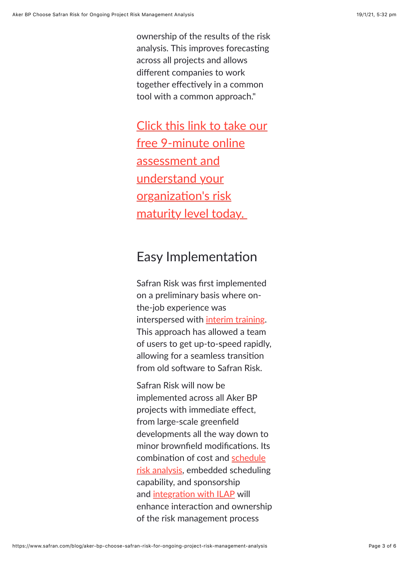ownership of the results of the risk analysis. This improves forecasting across all projects and allows different companies to work together effectively in a common tool with a common approach."

[Click this link to take our](https://www.safran.com/cs/c/?cta_guid=7512ec21-776f-4639-874a-ddf0a7279e30&signature=AAH58kHuwpJ5h3y9AHiW5RC0iH2JNZeYnQ&pageId=6059792639&placement_guid=a003a04b-be4d-448c-a42f-0a7221d318fd&click=11a2ab31-414e-48a2-88e3-f6304fe277a9&hsutk=effce42cd198e0cc7579cd6db51956c3&canon=https://www.safran.com/blog/aker-bp-choose-safran-risk-for-ongoing-project-risk-management-analysis&utm_referrer=https://www.safran.com/resources?types=Case+studies&portal_id=2405298&redirect_url=APefjpE1Nx_3FkG0kauJ1I3jANywFG12VFtq1D0_MqtFOT4RFsVVzs_uXBVyCmst8Un3NMJgx8QvYzU9-g8mL0fgeVKvxuBFJN4aYNYJwQcVTRS1m63C64t7oWq3JSvr7LRJE6NFYOeH4h2zDNgIO_2kBCNg3FAkufsnc6F_Em48f1VnuTEMaAY2-BYOz5MFYdCyRTT-ujSXkx_kn5vbJd1ZyYG_Tx1jv3NJbtfPpuYaDsZdeiNSeWtXuvbTQGc0K-gkEOvDZSuade70nyWON-nVmgVuP4DclQ&__hstc=177432314.effce42cd198e0cc7579cd6db51956c3.1593579823818.1610934282941.1611037792934.8&__hssc=177432314.5.1611037792934&__hsfp=2104221593&contentType=blog-post) free 9-minute online assessment and understand your organization's risk maturity level today.

### Easy Implementation

Safran Risk was first implemented on a preliminary basis where onthe-job experience was interspersed with [interim training](https://www.safran.com/training/on-request-training-sessions). This approach has allowed a team of users to get up-to-speed rapidly, allowing for a seamless transition from old software to Safran Risk.

Safran Risk will now be implemented across all Aker BP projects with immediate effect, from large-scale greenfield developments all the way down to minor brownfield modifications. Its combination of cost and schedule [risk analysis, embedded schedulin](https://www.safran.com/blog/why-perform-schedule-risk-analysis)g capability, and sponsorship and integration with ILAP will enhance interaction and ownership of the risk management process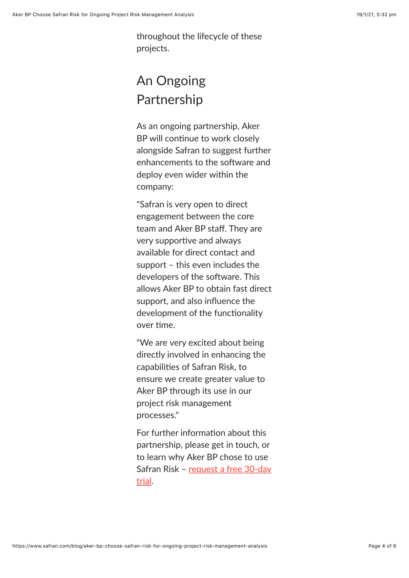throughout the lifecycle of these projects.

## An Ongoing Partnership

As an ongoing partnership, Aker BP will continue to work closely alongside Safran to suggest further enhancements to the software and deploy even wider within the company:

"Safran is very open to direct engagement between the core team and Aker BP staff. They are very supportive and always available for direct contact and support – this even includes the developers of the software. This allows Aker BP to obtain fast direct support, and also influence the development of the functionality over time.

"We are very excited about being directly involved in enhancing the capabilities of Safran Risk, to ensure we create greater value to Aker BP through its use in our project risk management processes."

For further information about this partnership, please get in touch, or to learn why Aker BP chose to use [Safran Risk – request a free 30-day](https://www.safran.com/risk-free-trial) trial.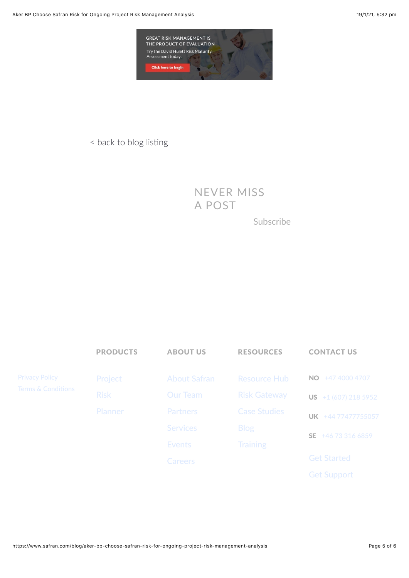

#### < back to blog listing

NEVER MISS A POST

Subscribe

|                                             | <b>PRODUCTS</b> | <b>ABOUT US</b>     | <b>RESOURCES</b>    | <b>CONTACT US</b>             |
|---------------------------------------------|-----------------|---------------------|---------------------|-------------------------------|
| <b>Privacy Policy</b><br>Terms & Conditions | Project         | <b>About Safran</b> | <b>Resource Hub</b> | +47 4000 4707<br>NO.          |
|                                             | <b>Risk</b>     | Our Team            | <b>Risk Gateway</b> | <b>US</b> $+1$ (607) 218 5952 |
|                                             | Planner         | Partners            | <b>Case Studies</b> | UK +44 77477755057            |
|                                             |                 | <b>Services</b>     | <b>Blog</b>         | +46 73 316 6859<br>SE.        |
|                                             |                 | <b>Events</b>       | <b>Training</b>     |                               |
|                                             |                 | Careers             |                     | <b>Get Started</b>            |
|                                             |                 |                     |                     | <b>Get Support</b>            |